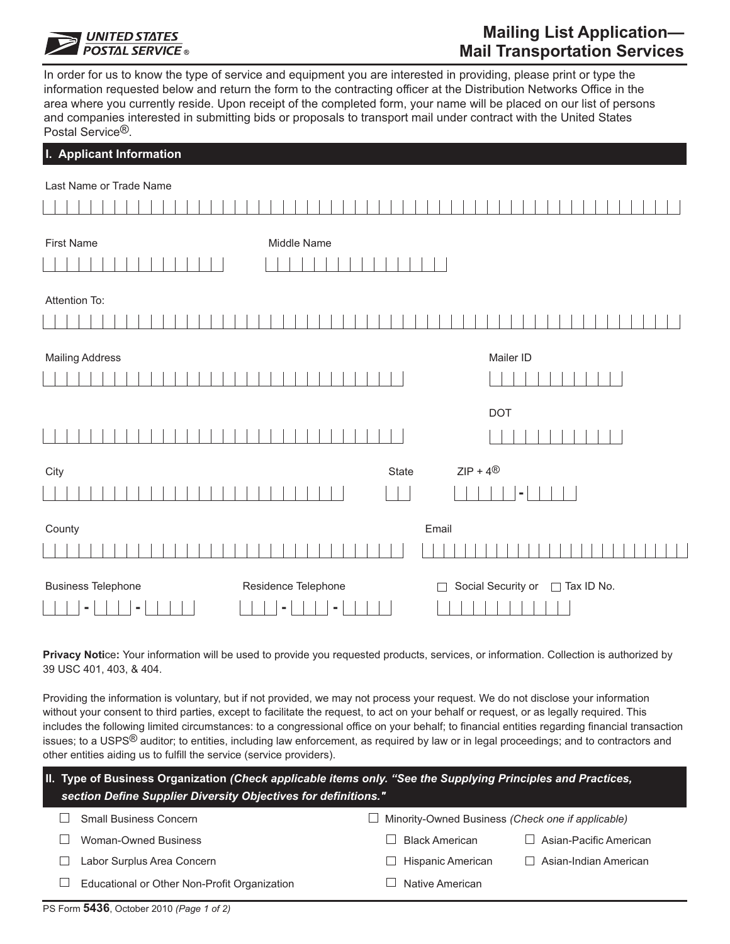

# **Mailing List Application—**

In order for us to know the type of service and equipment you are interested in providing, please print or type the information requested below and return the form to the contracting officer at the Distribution Networks Office in the area where you currently reside. Upon receipt of the completed form, your name will be placed on our list of persons and companies interested in submitting bids or proposals to transport mail under contract with the United States Postal Service®.

# **I. Applicant Information**

| Last Name or Trade Name                          |                                    |                                         |  |  |  |  |
|--------------------------------------------------|------------------------------------|-----------------------------------------|--|--|--|--|
|                                                  |                                    |                                         |  |  |  |  |
|                                                  |                                    |                                         |  |  |  |  |
| <b>First Name</b>                                | Middle Name                        |                                         |  |  |  |  |
|                                                  |                                    |                                         |  |  |  |  |
| Attention To:                                    |                                    |                                         |  |  |  |  |
|                                                  |                                    |                                         |  |  |  |  |
| <b>Mailing Address</b>                           |                                    | Mailer ID                               |  |  |  |  |
|                                                  |                                    |                                         |  |  |  |  |
|                                                  |                                    | DOT                                     |  |  |  |  |
|                                                  |                                    |                                         |  |  |  |  |
| City                                             | $ZIP + 4^{\circledR}$<br>State     |                                         |  |  |  |  |
|                                                  |                                    |                                         |  |  |  |  |
| County                                           | Email                              |                                         |  |  |  |  |
|                                                  |                                    |                                         |  |  |  |  |
| <b>Business Telephone</b><br>٠<br>$\blacksquare$ | Residence Telephone<br>$\Box$<br>۰ | Social Security or<br>$\Box$ Tax ID No. |  |  |  |  |

**Privacy Noti**ce**:** Your information will be used to provide you requested products, services, or information. Collection is authorized by 39 USC 401, 403, & 404.

Providing the information is voluntary, but if not provided, we may not process your request. We do not disclose your information without your consent to third parties, except to facilitate the request, to act on your behalf or request, or as legally required. This includes the following limited circumstances: to a congressional office on your behalf; to financial entities regarding financial transaction issues; to a USPS® auditor; to entities, including law enforcement, as required by law or in legal proceedings; and to contractors and other entities aiding us to fulfill the service (service providers).

|              | II. Type of Business Organization (Check applicable items only. "See the Supplying Principles and Practices,<br>section Define Supplier Diversity Objectives for definitions." |                                                          |  |  |  |  |  |  |
|--------------|--------------------------------------------------------------------------------------------------------------------------------------------------------------------------------|----------------------------------------------------------|--|--|--|--|--|--|
|              | <b>Small Business Concern</b>                                                                                                                                                  | $\Box$ Minority-Owned Business (Check one if applicable) |  |  |  |  |  |  |
|              | Woman-Owned Business                                                                                                                                                           | <b>Black American</b><br>Asian-Pacific American          |  |  |  |  |  |  |
|              | Labor Surplus Area Concern                                                                                                                                                     | Hispanic American<br>Asian-Indian American               |  |  |  |  |  |  |
| $\mathsf{I}$ | Educational or Other Non-Profit Organization                                                                                                                                   | Native American                                          |  |  |  |  |  |  |